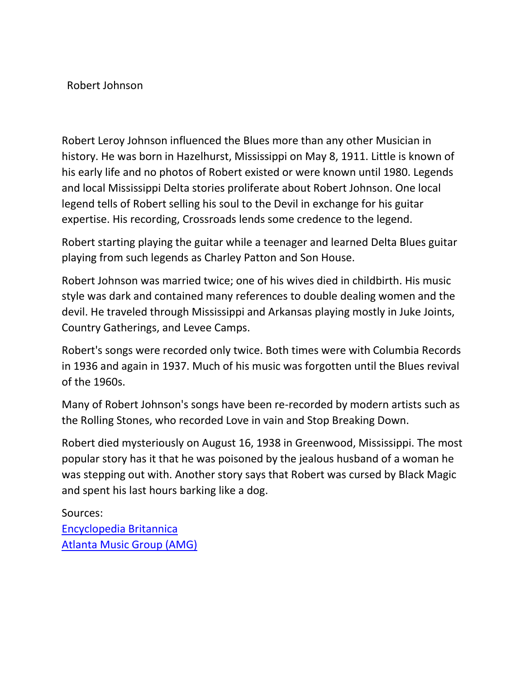## Robert Johnson

Robert Leroy Johnson influenced the Blues more than any other Musician in history. He was born in Hazelhurst, Mississippi on May 8, 1911. Little is known of his early life and no photos of Robert existed or were known until 1980. Legends and local Mississippi Delta stories proliferate about Robert Johnson. One local legend tells of Robert selling his soul to the Devil in exchange for his guitar expertise. His recording, Crossroads lends some credence to the legend.

Robert starting playing the guitar while a teenager and learned Delta Blues guitar playing from such legends as Charley Patton and Son House.

Robert Johnson was married twice; one of his wives died in childbirth. His music style was dark and contained many references to double dealing women and the devil. He traveled through Mississippi and Arkansas playing mostly in Juke Joints, Country Gatherings, and Levee Camps.

Robert's songs were recorded only twice. Both times were with Columbia Records in 1936 and again in 1937. Much of his music was forgotten until the Blues revival of the 1960s.

Many of Robert Johnson's songs have been re-recorded by modern artists such as the Rolling Stones, who recorded Love in vain and Stop Breaking Down.

Robert died mysteriously on August 16, 1938 in Greenwood, Mississippi. The most popular story has it that he was poisoned by the jealous husband of a woman he was stepping out with. Another story says that Robert was cursed by Black Magic and spent his last hours barking like a dog.

Sources: [Encyclopedia Britannica](http://www.britannica.com/) [Atlanta Music Group \(AMG\)](http://www.atlantamusicgroup.com/)